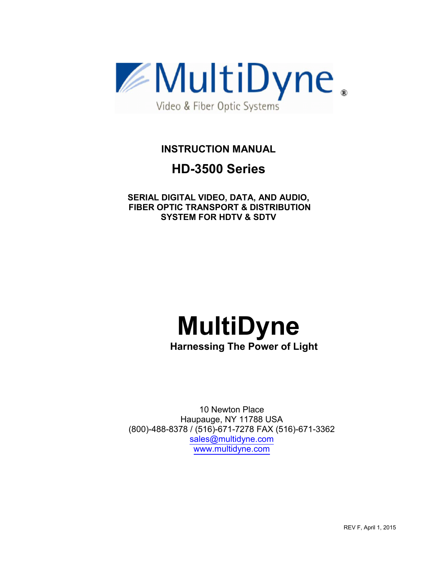

**INSTRUCTION MANUAL**

# **HD-3500 Series**

**SERIAL DIGITAL VIDEO, DATA, AND AUDIO, FIBER OPTIC TRANSPORT & DISTRIBUTION SYSTEM FOR HDTV & SDTV** 

# **MultiDyne**

**Harnessing The Power of Light**

10 Newton Place Haupauge, NY 11788 USA (800)-488-8378 / (516)-671-7278 FAX (516)-671-3362 sales@multidyne.com www.multidyne.com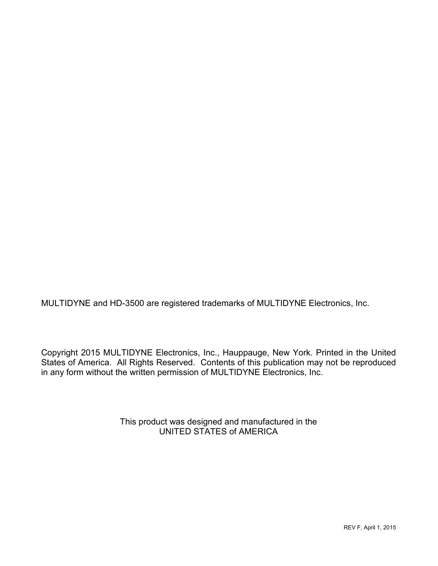MULTIDYNE and HD-3500 are registered trademarks of MULTIDYNE Electronics, Inc.

Copyright 2015 MULTIDYNE Electronics, Inc., Hauppauge, New York. Printed in the United States of America. All Rights Reserved. Contents of this publication may not be reproduced in any form without the written permission of MULTIDYNE Electronics, Inc.

> This product was designed and manufactured in the UNITED STATES of AMERICA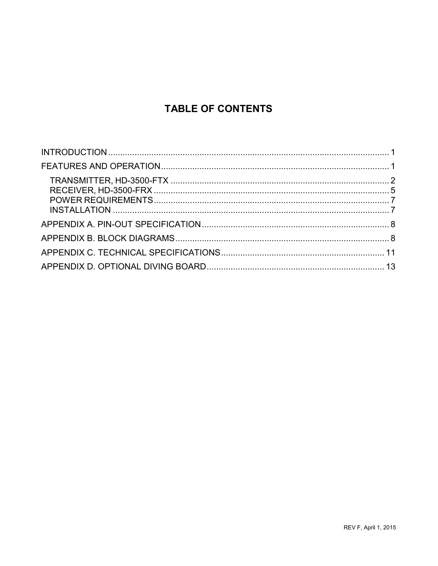# **TABLE OF CONTENTS**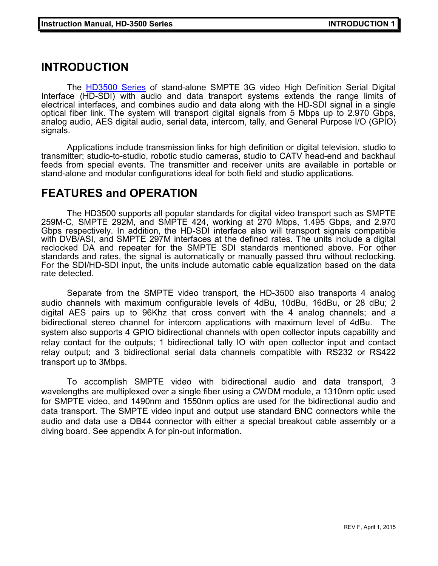## **INTRODUCTION**

The **HD3500 Series** of stand-alone SMPTE 3G video High Definition Serial Digital Interface (HD-SDI) with audio and data transport systems extends the range limits of electrical interfaces, and combines audio and data along with the HD-SDI signal in a single optical fiber link. The system will transport digital signals from 5 Mbps up to 2.970 Gbps, analog audio, AES digital audio, serial data, intercom, tally, and General Purpose I/O (GPIO) signals.

Applications include transmission links for high definition or digital television, studio to transmitter; studio-to-studio, robotic studio cameras, studio to CATV head-end and backhaul feeds from special events. The transmitter and receiver units are available in portable or stand-alone and modular configurations ideal for both field and studio applications.

### **FEATURES and OPERATION**

The HD3500 supports all popular standards for digital video transport such as SMPTE 259M-C, SMPTE 292M, and SMPTE 424, working at 270 Mbps, 1.495 Gbps, and 2.970 Gbps respectively. In addition, the HD-SDI interface also will transport signals compatible with DVB/ASI, and SMPTE 297M interfaces at the defined rates. The units include a digital reclocked DA and repeater for the SMPTE SDI standards mentioned above. For other standards and rates, the signal is automatically or manually passed thru without reclocking. For the SDI/HD-SDI input, the units include automatic cable equalization based on the data rate detected.

Separate from the SMPTE video transport, the HD-3500 also transports 4 analog audio channels with maximum configurable levels of 4dBu, 10dBu, 16dBu, or 28 dBu; 2 digital AES pairs up to 96Khz that cross convert with the 4 analog channels; and a bidirectional stereo channel for intercom applications with maximum level of 4dBu. The system also supports 4 GPIO bidirectional channels with open collector inputs capability and relay contact for the outputs; 1 bidirectional tally IO with open collector input and contact relay output; and 3 bidirectional serial data channels compatible with RS232 or RS422 transport up to 3Mbps.

To accomplish SMPTE video with bidirectional audio and data transport, 3 wavelengths are multiplexed over a single fiber using a CWDM module, a 1310nm optic used for SMPTE video, and 1490nm and 1550nm optics are used for the bidirectional audio and data transport. The SMPTE video input and output use standard BNC connectors while the audio and data use a DB44 connector with either a special breakout cable assembly or a diving board. See appendix A for pin-out information.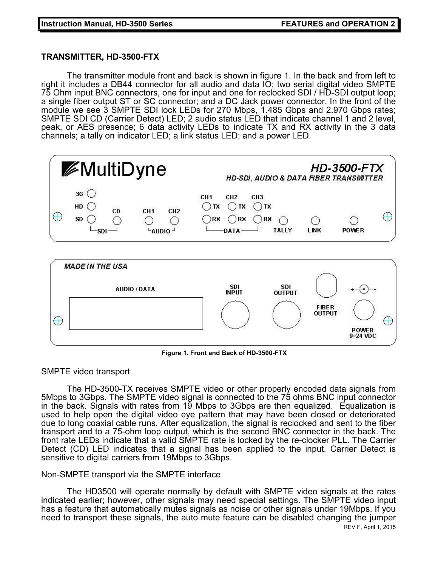#### **TRANSMITTER, HD-3500-FTX**

 The transmitter module front and back is shown in figure 1. In the back and from left to right it includes a DB44 connector for all audio and data IO; two serial digital video SMPTE 75 Ohm input BNC connectors, one for input and one for reclocked SDI / HD-SDI output loop; a single fiber output ST or SC connector; and a DC Jack power connector. In the front of the module we see 3 SMPTE SDI lock LEDs for 270 Mbps, 1.485 Gbps and 2.970 Gbps rates; SMPTE SDI CD (Carrier Detect) LED; 2 audio status LED that indicate channel 1 and 2 level, peak, or AES presence; 6 data activity LEDs to indicate TX and RX activity in the 3 data channels; a tally on indicator LED; a link status LED; and a power LED.





**Figure 1. Front and Back of HD-3500-FTX**

#### SMPTE video transport

The HD-3500-TX receives SMPTE video or other properly encoded data signals from 5Mbps to 3Gbps. The SMPTE video signal is connected to the 75 ohms BNC input connector in the back. Signals with rates from 19 Mbps to 3Gbps are then equalized. Equalization is used to help open the digital video eye pattern that may have been closed or deteriorated due to long coaxial cable runs. After equalization, the signal is reclocked and sent to the fiber transport and to a 75-ohm loop output, which is the second BNC connector in the back. The front rate LEDs indicate that a valid SMPTE rate is locked by the re-clocker PLL. The Carrier Detect (CD) LED indicates that a signal has been applied to the input. Carrier Detect is sensitive to digital carriers from 19Mbps to 3Gbps.

#### Non-SMPTE transport via the SMPTE interface

The HD3500 will operate normally by default with SMPTE video signals at the rates indicated earlier; however, other signals may need special settings. The SMPTE video input has a feature that automatically mutes signals as noise or other signals under 19Mbps. If you need to transport these signals, the auto mute feature can be disabled changing the jumper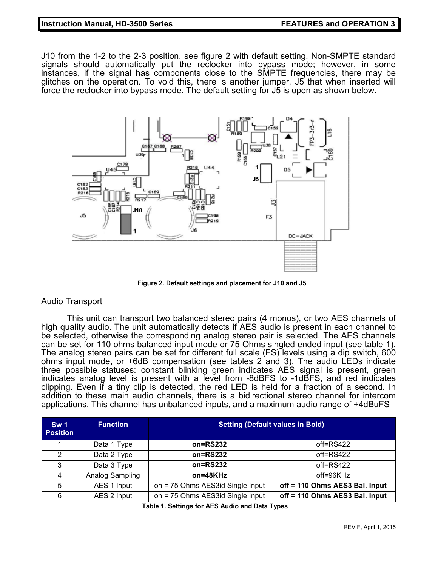#### **Instruction Manual, HD-3500 Series FEATURES and OPERATION 3**

J10 from the 1-2 to the 2-3 position, see figure 2 with default setting. Non-SMPTE standard signals should automatically put the reclocker into bypass mode; however, in some instances, if the signal has components close to the SMPTE frequencies, there may be glitches on the operation. To void this, there is another jumper, J5 that when inserted will force the reclocker into bypass mode. The default setting for J5 is open as shown below.



**Figure 2. Default settings and placement for J10 and J5**

#### Audio Transport

This unit can transport two balanced stereo pairs (4 monos), or two AES channels of high quality audio. The unit automatically detects if AES audio is present in each channel to be selected, otherwise the corresponding analog stereo pair is selected. The AES channels can be set for 110 ohms balanced input mode or 75 Ohms singled ended input (see table 1). The analog stereo pairs can be set for different full scale (FS) levels using a dip switch, 600 ohms input mode, or +6dB compensation (see tables 2 and 3). The audio LEDs indicate three possible statuses: constant blinking green indicates AES signal is present, green indicates analog level is present with a level from -8dBFS to -1dBFS, and red indicates clipping. Even if a tiny clip is detected, the red LED is held for a fraction of a second. In addition to these main audio channels, there is a bidirectional stereo channel for intercom applications. This channel has unbalanced inputs, and a maximum audio range of +4dBuFS

| Sw <sub>1</sub><br><b>Position</b> | <b>Function</b> | <b>Setting (Default values in Bold)</b> |                                |  |
|------------------------------------|-----------------|-----------------------------------------|--------------------------------|--|
|                                    | Data 1 Type     | $on = RS232$                            | $off = RS422$                  |  |
| 2                                  | Data 2 Type     | $on = RS232$                            | $off = RS422$                  |  |
| 3                                  | Data 3 Type     | on=RS232                                | $off = RS422$                  |  |
| 4                                  | Analog Sampling | on=48KHz                                | $off = 96KHz$                  |  |
| 5                                  | AES 1 Input     | on = 75 Ohms AES3id Single Input        | off = 110 Ohms AES3 Bal. Input |  |
| 6                                  | AES 2 Input     | on = 75 Ohms AES3id Single Input        | off = 110 Ohms AES3 Bal. Input |  |

**Table 1. Settings for AES Audio and Data Types**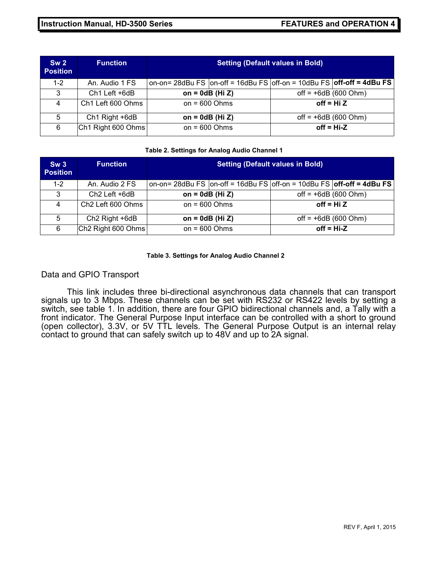| Sw <sub>2</sub><br><b>Position</b> | <b>Function</b>           | <b>Setting (Default values in Bold)</b> |                                                                                   |                        |  |
|------------------------------------|---------------------------|-----------------------------------------|-----------------------------------------------------------------------------------|------------------------|--|
| $1 - 2$                            | An. Audio 1 FS            |                                         | on-on= 28dBu FS $ $ on-off = 16dBu FS $ $ off-on = 10dBu FS $ $ off-off = 4dBu FS |                        |  |
| 3                                  | Ch <sub>1</sub> Left +6dB | on = $0dB$ (Hi Z)                       |                                                                                   | $off = +6dB (600 Ohm)$ |  |
| 4                                  | Ch1 Left 600 Ohms         | on = $600$ Ohms                         |                                                                                   | off = $Hi Z$           |  |
| 5                                  | Ch1 Right +6dB            | on = $0dB$ (Hi Z)                       |                                                                                   | off = $+6dB$ (600 Ohm) |  |
| 6                                  | Ch1 Right 600 Ohms        | on = $600$ Ohms                         |                                                                                   | $off = Hi-Z$           |  |

#### **Table 2. Settings for Analog Audio Channel 1**

| Sw3<br><b>Position</b> | <b>Function</b>               | <b>Setting (Default values in Bold)</b> |                                                                                   |                        |              |  |
|------------------------|-------------------------------|-----------------------------------------|-----------------------------------------------------------------------------------|------------------------|--------------|--|
| $1 - 2$                | An. Audio 2 FS                |                                         | on-on= 28dBu FS $ $ on-off = 16dBu FS $ $ off-on = 10dBu FS $ $ off-off = 4dBu FS |                        |              |  |
| 3                      | $Ch2$ Left $+6dB$             | on = $0dB$ (Hi Z)                       |                                                                                   | $off = +6dB (600 Ohm)$ |              |  |
| 4                      | Ch <sub>2</sub> Left 600 Ohms |                                         | on = $600$ Ohms                                                                   |                        | off = $Hi Z$ |  |
| 5                      | Ch <sub>2</sub> Right +6dB    | on = $0dB$ (Hi Z)                       |                                                                                   | off = $+6dB$ (600 Ohm) |              |  |
| 6                      | Ch2 Right 600 Ohms            | on = $600$ Ohms                         |                                                                                   | $off = Hi-Z$           |              |  |

#### **Table 3. Settings for Analog Audio Channel 2**

#### Data and GPIO Transport

This link includes three bi-directional asynchronous data channels that can transport signals up to 3 Mbps. These channels can be set with RS232 or RS422 levels by setting a switch, see table 1. In addition, there are four GPIO bidirectional channels and, a Tally with a front indicator. The General Purpose Input interface can be controlled with a short to ground (open collector), 3.3V, or 5V TTL levels. The General Purpose Output is an internal relay contact to ground that can safely switch up to 48V and up to 2A signal.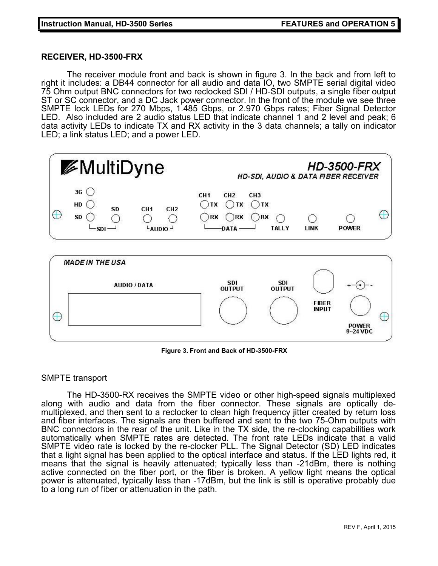#### **RECEIVER, HD-3500-FRX**

 The receiver module front and back is shown in figure 3. In the back and from left to right it includes: a DB44 connector for all audio and data IO, two SMPTE serial digital video 75 Ohm output BNC connectors for two reclocked SDI / HD-SDI outputs, a single fiber output ST or SC connector, and a DC Jack power connector. In the front of the module we see three SMPTE lock LEDs for 270 Mbps, 1.485 Gbps, or 2.970 Gbps rates; Fiber Signal Detector LED. Also included are 2 audio status LED that indicate channel 1 and 2 level and peak; 6 data activity LEDs to indicate TX and RX activity in the 3 data channels; a tally on indicator LED; a link status LED; and a power LED.



**Figure 3. Front and Back of HD-3500-FRX**

#### SMPTE transport

The HD-3500-RX receives the SMPTE video or other high-speed signals multiplexed along with audio and data from the fiber connector. These signals are optically demultiplexed, and then sent to a reclocker to clean high frequency jitter created by return loss and fiber interfaces. The signals are then buffered and sent to the two 75-Ohm outputs with BNC connectors in the rear of the unit. Like in the TX side, the re-clocking capabilities work automatically when SMPTE rates are detected. The front rate LEDs indicate that a valid SMPTE video rate is locked by the re-clocker PLL. The Signal Detector (SD) LED indicates that a light signal has been applied to the optical interface and status. If the LED lights red, it means that the signal is heavily attenuated; typically less than -21dBm, there is nothing active connected on the fiber port, or the fiber is broken. A yellow light means the optical power is attenuated, typically less than -17dBm, but the link is still is operative probably due to a long run of fiber or attenuation in the path.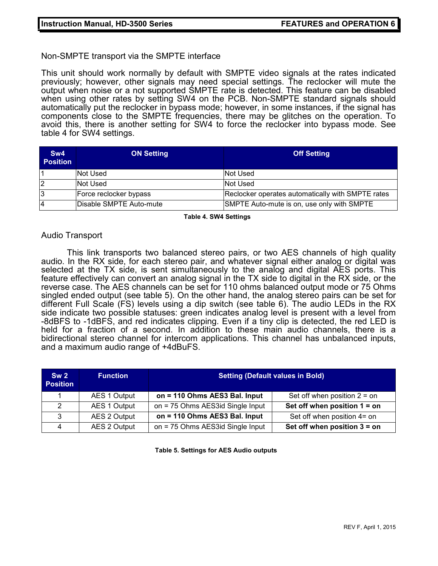Non-SMPTE transport via the SMPTE interface

This unit should work normally by default with SMPTE video signals at the rates indicated previously; however, other signals may need special settings. The reclocker will mute the output when noise or a not supported SMPTE rate is detected. This feature can be disabled when using other rates by setting SW4 on the PCB. Non-SMPTE standard signals should automatically put the reclocker in bypass mode; however, in some instances, if the signal has components close to the SMPTE frequencies, there may be glitches on the operation. To avoid this, there is another setting for SW4 to force the reclocker into bypass mode. See table 4 for SW4 settings.

| Sw4<br><b>Position</b> | <b>ON Setting</b>       | <b>Off Setting</b>                                |
|------------------------|-------------------------|---------------------------------------------------|
|                        | Not Used                | <b>Not Used</b>                                   |
| $\overline{2}$         | Not Used                | Not Used                                          |
| 3                      | Force reclocker bypass  | Reclocker operates automatically with SMPTE rates |
| 4                      | Disable SMPTE Auto-mute | SMPTE Auto-mute is on, use only with SMPTE        |

**Table 4. SW4 Settings**

#### Audio Transport

This link transports two balanced stereo pairs, or two AES channels of high quality audio. In the RX side, for each stereo pair, and whatever signal either analog or digital was selected at the TX side, is sent simultaneously to the analog and digital AES ports. This feature effectively can convert an analog signal in the TX side to digital in the RX side, or the reverse case. The AES channels can be set for 110 ohms balanced output mode or 75 Ohms singled ended output (see table 5). On the other hand, the analog stereo pairs can be set for different Full Scale (FS) levels using a dip switch (see table 6). The audio LEDs in the RX side indicate two possible statuses: green indicates analog level is present with a level from -8dBFS to -1dBFS, and red indicates clipping. Even if a tiny clip is detected, the red LED is held for a fraction of a second. In addition to these main audio channels, there is a bidirectional stereo channel for intercom applications. This channel has unbalanced inputs, and a maximum audio range of +4dBuFS.

| Sw <sub>2</sub><br><b>Position</b> | <b>Function</b>     | <b>Setting (Default values in Bold)</b> |                                |  |
|------------------------------------|---------------------|-----------------------------------------|--------------------------------|--|
|                                    | AES 1 Output        | on = 110 Ohms AES3 Bal. Input           | Set off when position $2 =$ on |  |
| $\mathcal{D}$                      | <b>AES 1 Output</b> | on = 75 Ohms AES3id Single Input        | Set off when position $1 =$ on |  |
| -2                                 | <b>AES 2 Output</b> | on = 110 Ohms AES3 Bal. Input           | Set off when position 4= on    |  |
| 4                                  | AES 2 Output        | on = 75 Ohms AES3id Single Input        | Set off when position $3 =$ on |  |

**Table 5. Settings for AES Audio outputs**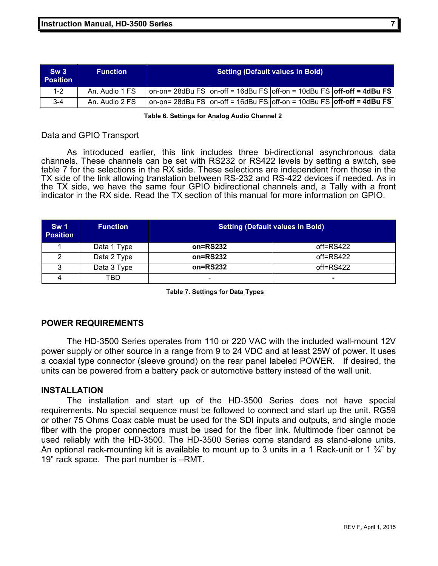| Sw3<br><b>Position</b> | <b>Function</b> | <b>Setting (Default values in Bold)</b>                                               |  |  |
|------------------------|-----------------|---------------------------------------------------------------------------------------|--|--|
| 1-2                    | An. Audio 1 FS  | on-on= 28dBu FS $ $ on-off = 16dBu FS $ $ off-on = 10dBu FS $ $ off-off = 4dBu FS     |  |  |
| $3-4$                  | An. Audio 2 FS  | on-on= 28dBu FS $ $ on-off = 16dBu FS $ $ off-on = 10dBu FS $ $ off-off = 4dBu FS $ $ |  |  |

**Table 6. Settings for Analog Audio Channel 2**

#### Data and GPIO Transport

As introduced earlier, this link includes three bi-directional asynchronous data channels. These channels can be set with RS232 or RS422 levels by setting a switch, see table 7 for the selections in the RX side. These selections are independent from those in the TX side of the link allowing translation between RS-232 and RS-422 devices if needed. As in the TX side, we have the same four GPIO bidirectional channels and, a Tally with a front indicator in the RX side. Read the TX section of this manual for more information on GPIO.

| <b>Sw 1</b><br><b>Position</b> | <b>Function</b> | <b>Setting (Default values in Bold)</b> |               |  |
|--------------------------------|-----------------|-----------------------------------------|---------------|--|
|                                | Data 1 Type     | on=RS232                                | $off = RS422$ |  |
|                                | Data 2 Type     | $on = RS232$                            | $off = RS422$ |  |
| ົ                              | Data 3 Type     | on=RS232                                | $off = RS422$ |  |
|                                | TBD             | $\qquad \qquad \blacksquare$            | ۰             |  |

**Table 7. Settings for Data Types**

#### **POWER REQUIREMENTS**

The HD-3500 Series operates from 110 or 220 VAC with the included wall-mount 12V power supply or other source in a range from 9 to 24 VDC and at least 25W of power. It uses a coaxial type connector (sleeve ground) on the rear panel labeled POWER. If desired, the units can be powered from a battery pack or automotive battery instead of the wall unit.

#### **INSTALLATION**

The installation and start up of the HD-3500 Series does not have special requirements. No special sequence must be followed to connect and start up the unit. RG59 or other 75 Ohms Coax cable must be used for the SDI inputs and outputs, and single mode fiber with the proper connectors must be used for the fiber link. Multimode fiber cannot be used reliably with the HD-3500. The HD-3500 Series come standard as stand-alone units. An optional rack-mounting kit is available to mount up to 3 units in a 1 Rack-unit or 1  $\frac{3}{4}$ " by 19" rack space. The part number is –RMT.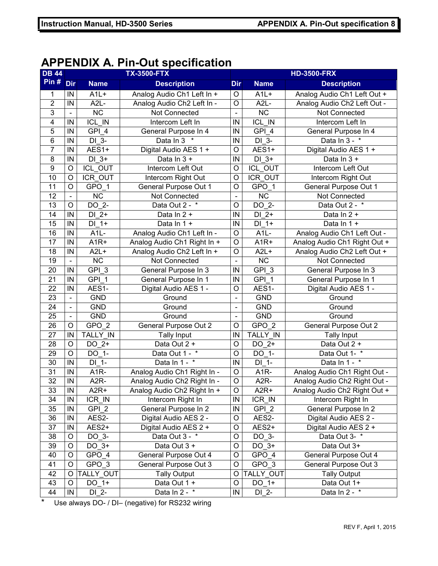## **APPENDIX A. Pin-Out specification**

| <b>DB 44</b>            | <b>TX-3500-FTX</b>           |                    |                                         | <b>HD-3500-FRX</b>           |                        |                              |
|-------------------------|------------------------------|--------------------|-----------------------------------------|------------------------------|------------------------|------------------------------|
| Pin $#$                 | Dir                          | <b>Name</b>        | <b>Description</b>                      | <b>Dir</b>                   | <b>Name</b>            | <b>Description</b>           |
| 1                       | IN                           | $A1L+$             | Analog Audio Ch1 Left In +              | $\circ$                      | $A1L+$                 | Analog Audio Ch1 Left Out +  |
| $\overline{2}$          | IN                           | $A2L -$            | Analog Audio Ch2 Left In -              | $\circ$                      | $A2L -$                | Analog Audio Ch2 Left Out -  |
| 3                       | $\blacksquare$               | $\overline{NC}$    | Not Connected                           | $\overline{\phantom{0}}$     | $\overline{\text{NC}}$ | Not Connected                |
| $\overline{\mathbf{4}}$ | IN                           | ICL_IN             | Intercom Left In                        | IN                           | ICL IN                 | Intercom Left In             |
| 5                       | IN                           | GPI 4              | General Purpose In 4                    | IN                           | GPI 4                  | General Purpose In 4         |
| 6                       | IN                           | DI 3-              | Data In 3 *                             | IN                           | $DI_3$ -               | Data In 3 - *                |
| $\overline{7}$          | IN                           | AES1+              | Digital Audio AES 1 +                   | O                            | AES1+                  | Digital Audio AES 1 +        |
| 8                       | IN                           | $DI$ 3+            | Data In 3 +                             | IN                           | $DI$ 3+                | Data In 3 +                  |
| $\boldsymbol{9}$        | $\circ$                      | <b>ICL OUT</b>     | Intercom Left Out                       | $\circ$                      | <b>ICL OUT</b>         | Intercom Left Out            |
| 10                      | $\circ$                      | ICR OUT            | Intercom Right Out                      | O                            | <b>ICR OUT</b>         | Intercom Right Out           |
| 11                      | $\overline{O}$               | $GPO_1$            | General Purpose Out 1                   | $\overline{0}$               | $GPO_1$                | General Purpose Out 1        |
| 12                      | $\qquad \qquad \blacksquare$ | <b>NC</b>          | Not Connected                           | $\blacksquare$               | $\overline{\text{NC}}$ | Not Connected                |
| 13                      | $\circ$                      | $DO_2$ -           | Data Out 2 - *                          | $\circ$                      | $DO_2$ -               | Data Out 2 - *               |
| 14                      | IN                           | $DI$ 2+            | Data In 2 +                             | IN                           | $DI$ 2+                | Data In 2 +                  |
| 15                      | IN                           | DI 1+              | Data In 1 +                             | IN                           | $DI_1+$                | Data In 1 +                  |
| 16                      | IN                           | $A1L-$             | Analog Audio Ch1 Left In -              | $\circ$                      | $A1L-$                 | Analog Audio Ch1 Left Out -  |
| 17                      | IN                           | A <sub>1R+</sub>   | Analog Audio Ch1 Right In +             | O                            | A <sub>1R+</sub>       | Analog Audio Ch1 Right Out + |
| 18                      | IN                           | $A2L+$             | Analog Audio Ch2 Left In +              | O                            | $A2L+$                 | Analog Audio Ch2 Left Out +  |
| 19                      | $\blacksquare$               | <b>NC</b>          | Not Connected                           | $\blacksquare$               | <b>NC</b>              | Not Connected                |
| 20                      | IN                           | $GPI$ 3            | General Purpose In 3                    | IN                           | GPI 3                  | General Purpose In 3         |
| 21                      | IN                           | GPI <sub>1</sub>   | General Purpose In 1                    | IN                           | GPI <sub>1</sub>       | General Purpose In 1         |
| 22                      | IN                           | AES1-              | Digital Audio AES 1 -                   | O                            | AES1-                  | Digital Audio AES 1 -        |
| 23                      | $\blacksquare$               | <b>GND</b>         | Ground                                  | $\qquad \qquad \blacksquare$ | <b>GND</b>             | Ground                       |
| 24                      | $\blacksquare$               | <b>GND</b>         | Ground                                  | $\overline{\phantom{a}}$     | <b>GND</b>             | Ground                       |
| 25                      | $\overline{\phantom{0}}$     | <b>GND</b>         | Ground                                  | $\overline{\phantom{0}}$     | <b>GND</b>             | Ground                       |
| $\overline{26}$         | $\circ$                      | GPO <sub>2</sub>   | <b>General Purpose Out 2</b>            | O                            | GPO <sub>2</sub>       | <b>General Purpose Out 2</b> |
| 27                      | IN                           | <b>TALLY IN</b>    | <b>Tally Input</b>                      | IN                           | <b>TALLY IN</b>        | <b>Tally Input</b>           |
| 28                      | $\circ$                      | DO 2+              | Data Out 2 +                            | $\circ$                      | DO 2+                  | Data Out 2 +                 |
| 29                      | $\circ$                      | DO 1-              | Data Out 1 - *                          | $\overline{O}$               | $DO$ 1-                | Data Out 1- *                |
| 30                      | IN                           | DI 1-              | Data In 1 - *                           | IN                           | $DI_1$ -               | Data In $1 - \frac{1}{x}$    |
| 31                      | IN                           | A <sub>1R</sub>    | Analog Audio Ch1 Right In -             | O                            | A <sub>1R</sub> -      | Analog Audio Ch1 Right Out - |
| 32                      | IN                           | A <sub>2R</sub>    | Analog Audio Ch2 Right In -             | O                            | A <sub>2R</sub> -      | Analog Audio Ch2 Right Out - |
| 33                      | IN                           | A <sub>2R+</sub>   | Analog Audio Ch <sub>2</sub> Right In + | O                            | A <sub>2R</sub> +      | Analog Audio Ch2 Right Out + |
| 34                      | ${\sf IN}$                   | ICR_IN             | Intercom Right In                       | IN                           | ICR_IN                 | Intercom Right In            |
| 35                      | ${\sf IN}$                   | $GPL$ <sub>2</sub> | General Purpose In 2                    | $\sf IN$                     | GPI <sub>2</sub>       | General Purpose In 2         |
| 36                      | ${\sf IN}$                   | AES2-              | Digital Audio AES 2 -                   | O                            | AES2-                  | Digital Audio AES 2 -        |
| 37                      | IN                           | $AES2+$            | Digital Audio AES 2 +                   | O                            | AES2+                  | Digital Audio AES 2 +        |
| 38                      | $\circ$                      | DO 3-              | Data Out 3 - *                          | O                            | DO 3-                  | Data Out 3- *                |
| 39                      | O                            | $DO_3+$            | Data Out 3 +                            | O                            | $DO_3+$                | Data Out 3+                  |
| 40                      | O                            | GPO 4              | <b>General Purpose Out 4</b>            | O                            | GPO 4                  | General Purpose Out 4        |
| 41                      | $\circ$                      | $GPO_3$            | General Purpose Out 3                   | O                            | $GPO_3$                | General Purpose Out 3        |
| 42                      | $\circ$                      | TALLY OUT          | <b>Tally Output</b>                     | O                            | TALLY OUT              | Tally Output                 |
| 43                      | O                            | DO 1+              | Data Out 1 +                            | O                            | DO 1+                  | Data Out 1+                  |
| 44                      | ${\sf IN}$                   | DI 2-              | Data In 2 - *                           | ${\sf IN}$                   | DI 2-                  | Data In 2 - *                |

\* Use always DO- / DI– (negative) for RS232 wiring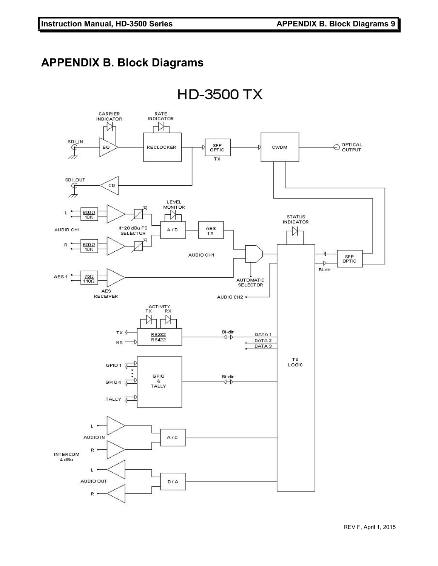# **APPENDIX B. Block Diagrams**

**HD-3500 TX** 

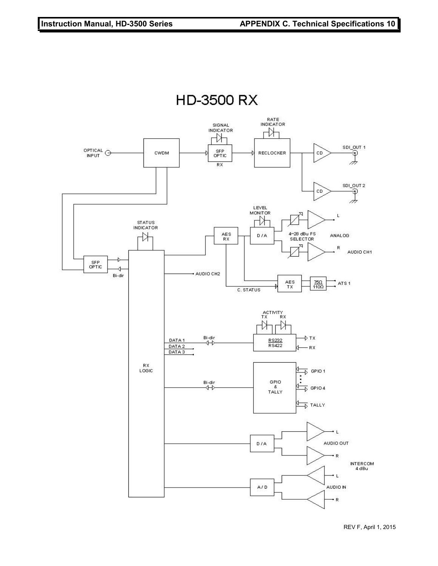

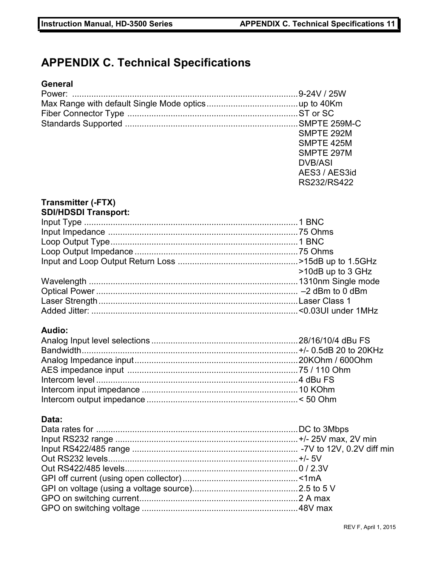# **APPENDIX C. Technical Specifications**

## **General**

| SMPTE 292M     |
|----------------|
| SMPTE 425M     |
| SMPTE 297M     |
| <b>DVB/ASI</b> |
| AES3 / AES3id  |
| RS232/RS422    |

#### **Transmitter (-FTX) SDI/HDSDI Transport:**

| >10dB up to 3 GHz |
|-------------------|
|                   |
|                   |
|                   |
|                   |

#### **Audio:**

#### **Data:**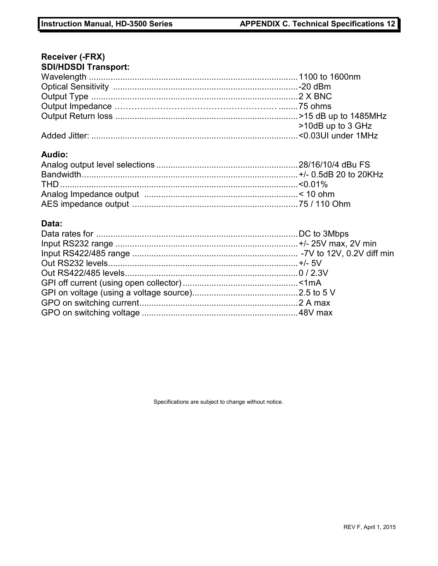# **Receiver (-FRX)**

| <b>SDI/HDSDI Transport:</b> |                   |
|-----------------------------|-------------------|
|                             |                   |
|                             |                   |
|                             |                   |
|                             |                   |
|                             |                   |
|                             | >10dB up to 3 GHz |
|                             |                   |
| Audio:                      |                   |
|                             |                   |
|                             |                   |
|                             |                   |
|                             |                   |
|                             |                   |

#### **Data:**

Specifications are subject to change without notice.